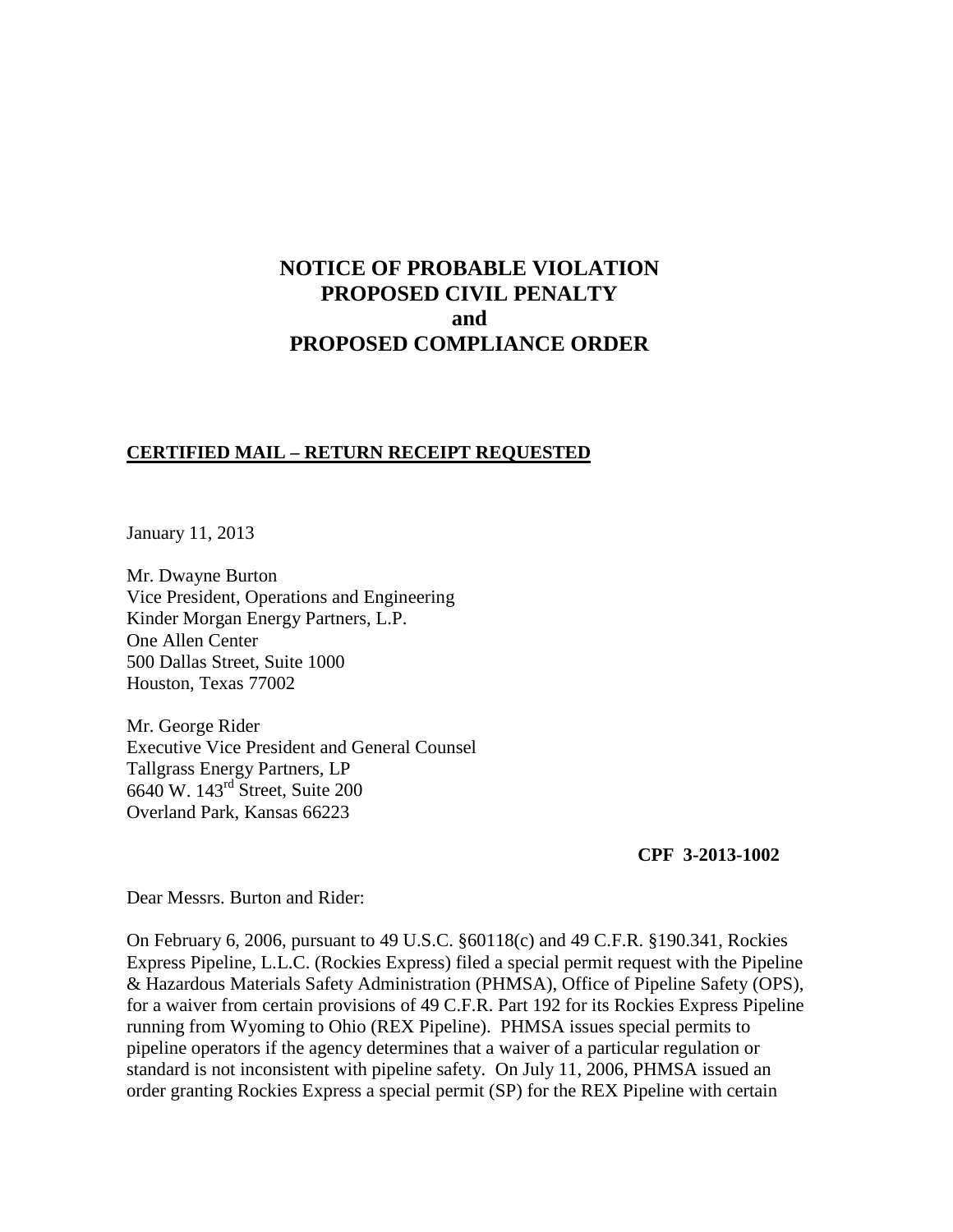# **NOTICE OF PROBABLE VIOLATION PROPOSED CIVIL PENALTY and PROPOSED COMPLIANCE ORDER**

#### **CERTIFIED MAIL – RETURN RECEIPT REQUESTED**

January 11, 2013

Mr. Dwayne Burton Vice President, Operations and Engineering Kinder Morgan Energy Partners, L.P. One Allen Center 500 Dallas Street, Suite 1000 Houston, Texas 77002

Mr. George Rider Executive Vice President and General Counsel Tallgrass Energy Partners, LP 6640 W. 143rd Street, Suite 200 Overland Park, Kansas 66223

#### **CPF 3-2013-1002**

Dear Messrs. Burton and Rider:

On February 6, 2006, pursuant to 49 U.S.C. §60118(c) and 49 C.F.R. §190.341, Rockies Express Pipeline, L.L.C. (Rockies Express) filed a special permit request with the Pipeline & Hazardous Materials Safety Administration (PHMSA), Office of Pipeline Safety (OPS), for a waiver from certain provisions of 49 C.F.R. Part 192 for its Rockies Express Pipeline running from Wyoming to Ohio (REX Pipeline).PHMSA issues special permits to pipeline operators if the agency determines that a waiver of a particular regulation or standard is not inconsistent with pipeline safety. On July 11, 2006, PHMSA issued an order granting Rockies Express a special permit (SP) for the REX Pipeline with certain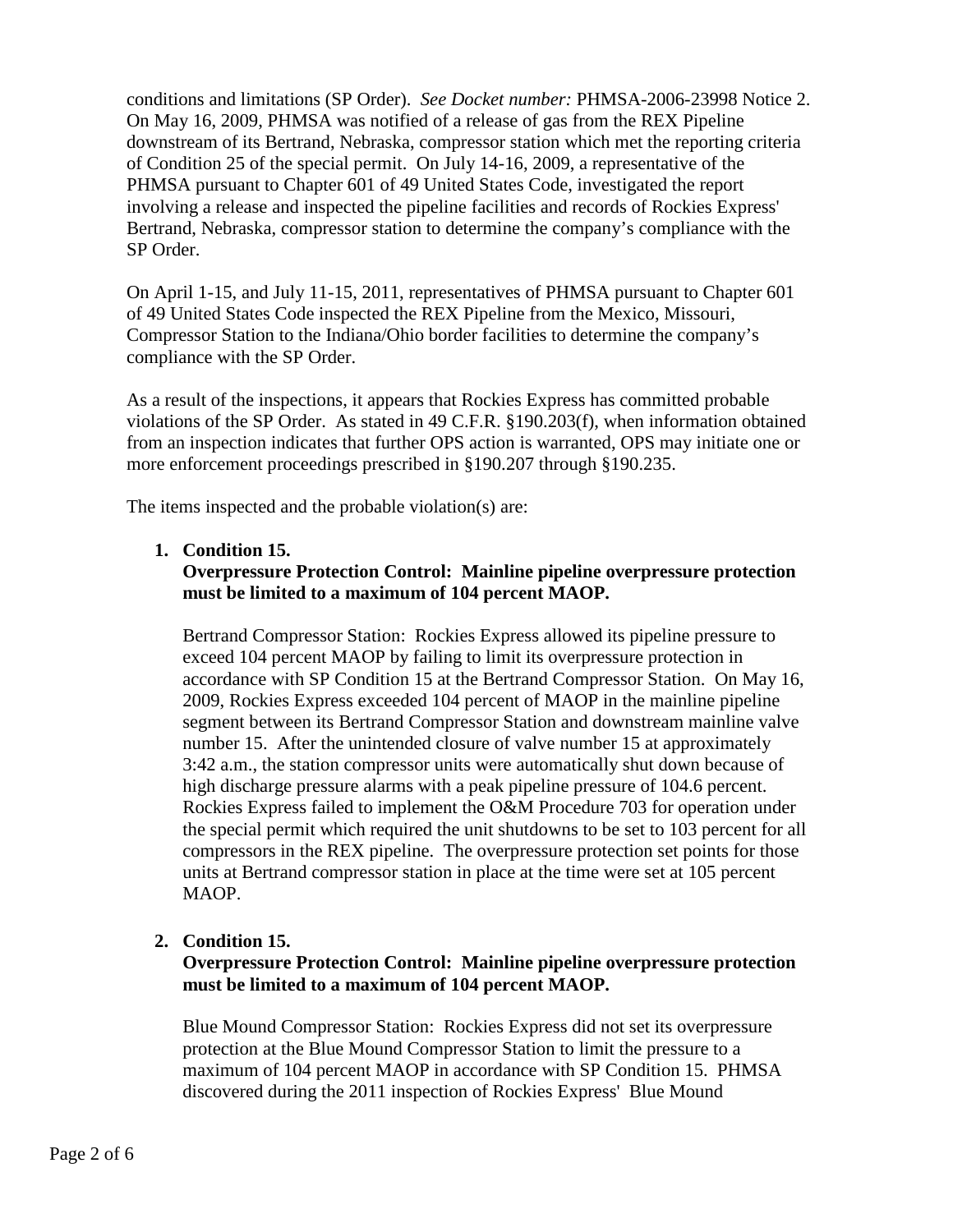conditions and limitations (SP Order). *See Docket number:* PHMSA-2006-23998 Notice 2. On May 16, 2009, PHMSA was notified of a release of gas from the REX Pipeline downstream of its Bertrand, Nebraska, compressor station which met the reporting criteria of Condition 25 of the special permit. On July 14-16, 2009, a representative of the PHMSA pursuant to Chapter 601 of 49 United States Code, investigated the report involving a release and inspected the pipeline facilities and records of Rockies Express' Bertrand, Nebraska, compressor station to determine the company's compliance with the SP Order.

On April 1-15, and July 11-15, 2011, representatives of PHMSA pursuant to Chapter 601 of 49 United States Code inspected the REX Pipeline from the Mexico, Missouri, Compressor Station to the Indiana/Ohio border facilities to determine the company's compliance with the SP Order.

As a result of the inspections, it appears that Rockies Express has committed probable violations of the SP Order. As stated in 49 C.F.R. §190.203(f), when information obtained from an inspection indicates that further OPS action is warranted, OPS may initiate one or more enforcement proceedings prescribed in §190.207 through §190.235.

The items inspected and the probable violation(s) are:

## **1. Condition 15.**

## **Overpressure Protection Control: Mainline pipeline overpressure protection must be limited to a maximum of 104 percent MAOP.**

Bertrand Compressor Station: Rockies Express allowed its pipeline pressure to exceed 104 percent MAOP by failing to limit its overpressure protection in accordance with SP Condition 15 at the Bertrand Compressor Station. On May 16, 2009, Rockies Express exceeded 104 percent of MAOP in the mainline pipeline segment between its Bertrand Compressor Station and downstream mainline valve number 15. After the unintended closure of valve number 15 at approximately 3:42 a.m., the station compressor units were automatically shut down because of high discharge pressure alarms with a peak pipeline pressure of 104.6 percent. Rockies Express failed to implement the O&M Procedure 703 for operation under the special permit which required the unit shutdowns to be set to 103 percent for all compressors in the REX pipeline. The overpressure protection set points for those units at Bertrand compressor station in place at the time were set at 105 percent MAOP.

## **2. Condition 15.**

## **Overpressure Protection Control: Mainline pipeline overpressure protection must be limited to a maximum of 104 percent MAOP.**

Blue Mound Compressor Station: Rockies Express did not set its overpressure protection at the Blue Mound Compressor Station to limit the pressure to a maximum of 104 percent MAOP in accordance with SP Condition 15. PHMSA discovered during the 2011 inspection of Rockies Express' Blue Mound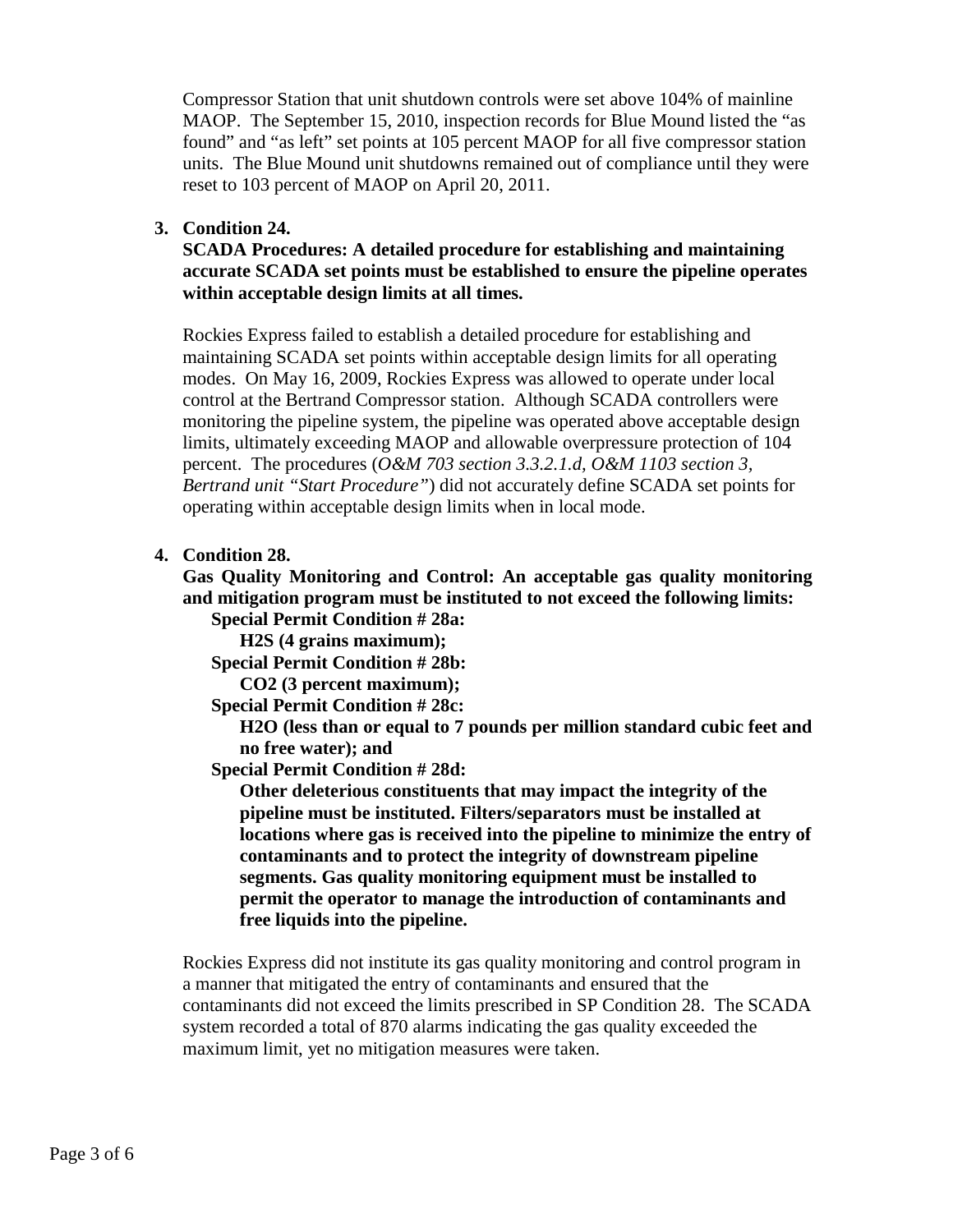Compressor Station that unit shutdown controls were set above 104% of mainline MAOP. The September 15, 2010, inspection records for Blue Mound listed the "as found" and "as left" set points at 105 percent MAOP for all five compressor station units. The Blue Mound unit shutdowns remained out of compliance until they were reset to 103 percent of MAOP on April 20, 2011.

## **3. Condition 24.**

**SCADA Procedures: A detailed procedure for establishing and maintaining accurate SCADA set points must be established to ensure the pipeline operates within acceptable design limits at all times.** 

Rockies Express failed to establish a detailed procedure for establishing and maintaining SCADA set points within acceptable design limits for all operating modes. On May 16, 2009, Rockies Express was allowed to operate under local control at the Bertrand Compressor station. Although SCADA controllers were monitoring the pipeline system, the pipeline was operated above acceptable design limits, ultimately exceeding MAOP and allowable overpressure protection of 104 percent. The procedures (*O&M 703 section 3.3.2.1.d, O&M 1103 section 3, Bertrand unit "Start Procedure"*) did not accurately define SCADA set points for operating within acceptable design limits when in local mode.

#### **4. Condition 28.**

**Gas Quality Monitoring and Control: An acceptable gas quality monitoring and mitigation program must be instituted to not exceed the following limits: Special Permit Condition # 28a:** 

**H2S (4 grains maximum);** 

**Special Permit Condition # 28b:** 

**CO2 (3 percent maximum);**

**Special Permit Condition # 28c:** 

**H2O (less than or equal to 7 pounds per million standard cubic feet and no free water); and**

**Special Permit Condition # 28d:** 

**Other deleterious constituents that may impact the integrity of the pipeline must be instituted. Filters/separators must be installed at locations where gas is received into the pipeline to minimize the entry of contaminants and to protect the integrity of downstream pipeline segments. Gas quality monitoring equipment must be installed to permit the operator to manage the introduction of contaminants and free liquids into the pipeline.**

Rockies Express did not institute its gas quality monitoring and control program in a manner that mitigated the entry of contaminants and ensured that the contaminants did not exceed the limits prescribed in SP Condition 28. The SCADA system recorded a total of 870 alarms indicating the gas quality exceeded the maximum limit, yet no mitigation measures were taken.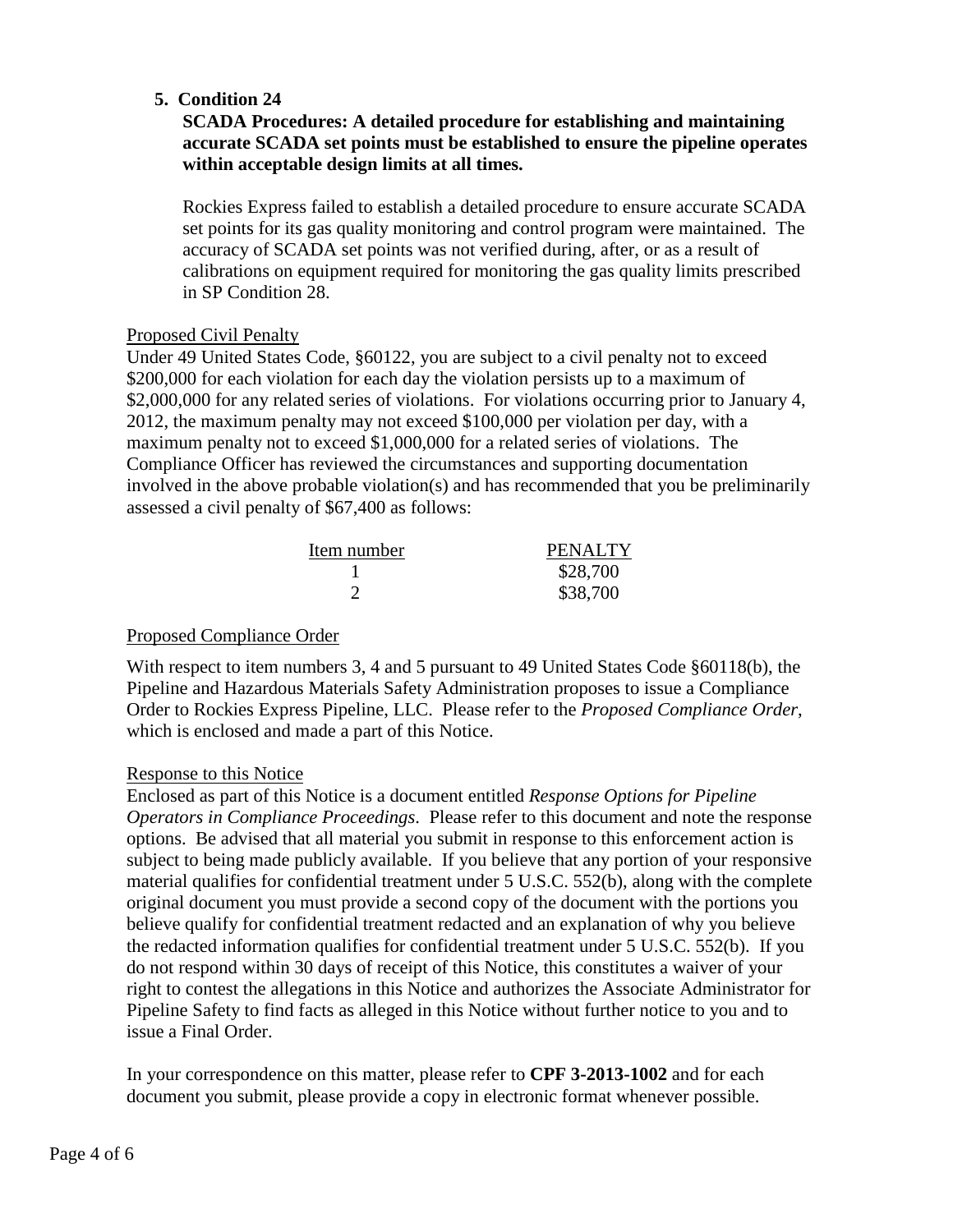## **5. Condition 24**

## **SCADA Procedures: A detailed procedure for establishing and maintaining accurate SCADA set points must be established to ensure the pipeline operates within acceptable design limits at all times.**

 Rockies Express failed to establish a detailed procedure to ensure accurate SCADA set points for its gas quality monitoring and control program were maintained. The accuracy of SCADA set points was not verified during, after, or as a result of calibrations on equipment required for monitoring the gas quality limits prescribed in SP Condition 28.

### Proposed Civil Penalty

Under 49 United States Code, §60122, you are subject to a civil penalty not to exceed \$200,000 for each violation for each day the violation persists up to a maximum of \$2,000,000 for any related series of violations. For violations occurring prior to January 4, 2012, the maximum penalty may not exceed \$100,000 per violation per day, with a maximum penalty not to exceed \$1,000,000 for a related series of violations. The Compliance Officer has reviewed the circumstances and supporting documentation involved in the above probable violation(s) and has recommended that you be preliminarily assessed a civil penalty of \$67,400 as follows:

| Item number | <b>PENALTY</b> |
|-------------|----------------|
|             | \$28,700       |
|             | \$38,700       |

## Proposed Compliance Order

With respect to item numbers 3, 4 and 5 pursuant to 49 United States Code §60118(b), the Pipeline and Hazardous Materials Safety Administration proposes to issue a Compliance Order to Rockies Express Pipeline, LLC. Please refer to the *Proposed Compliance Order*, which is enclosed and made a part of this Notice.

## Response to this Notice

Enclosed as part of this Notice is a document entitled *Response Options for Pipeline Operators in Compliance Proceedings*. Please refer to this document and note the response options. Be advised that all material you submit in response to this enforcement action is subject to being made publicly available. If you believe that any portion of your responsive material qualifies for confidential treatment under 5 U.S.C. 552(b), along with the complete original document you must provide a second copy of the document with the portions you believe qualify for confidential treatment redacted and an explanation of why you believe the redacted information qualifies for confidential treatment under 5 U.S.C. 552(b). If you do not respond within 30 days of receipt of this Notice, this constitutes a waiver of your right to contest the allegations in this Notice and authorizes the Associate Administrator for Pipeline Safety to find facts as alleged in this Notice without further notice to you and to issue a Final Order.

In your correspondence on this matter, please refer to **CPF 3-2013-1002** and for each document you submit, please provide a copy in electronic format whenever possible.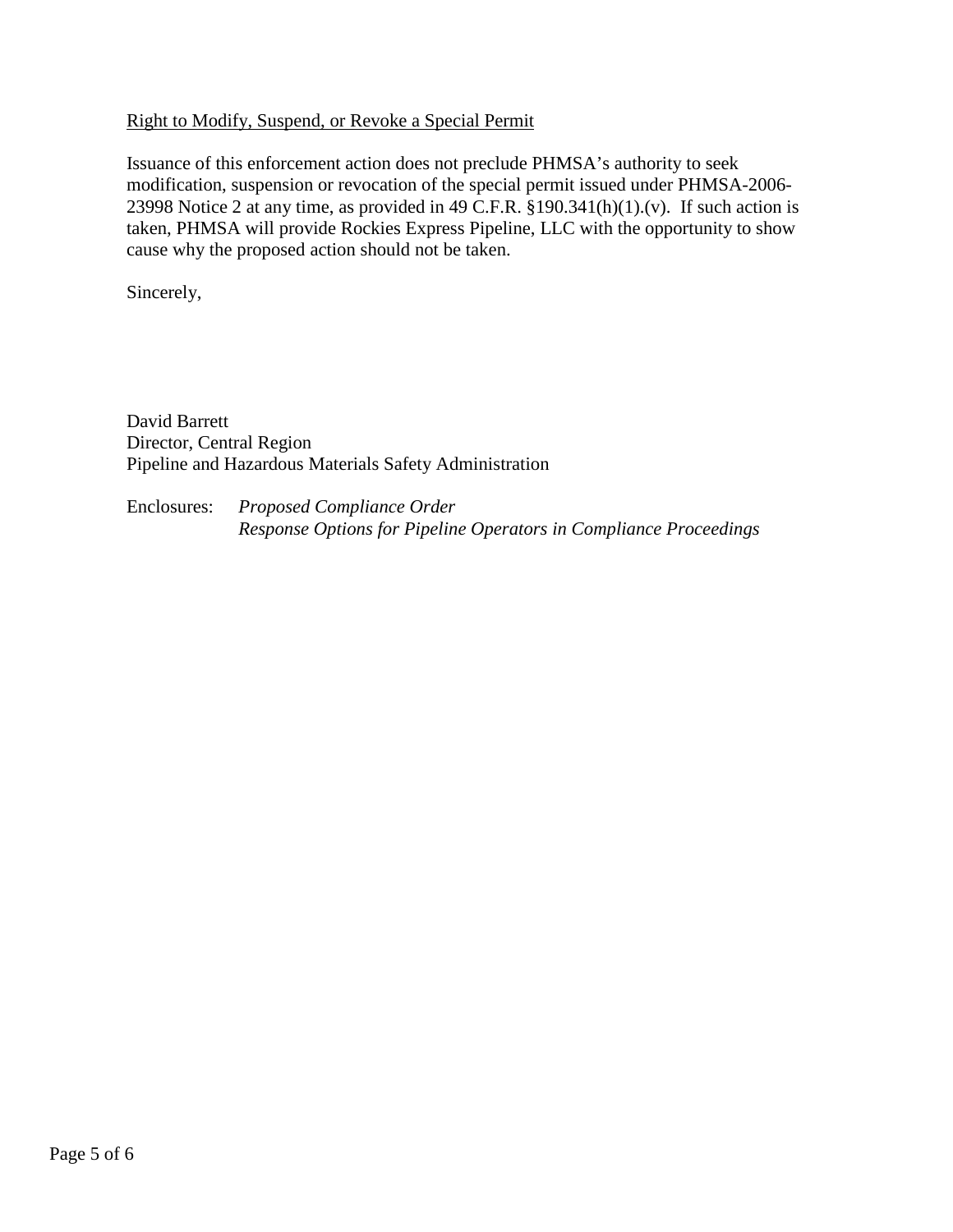## Right to Modify, Suspend, or Revoke a Special Permit

Issuance of this enforcement action does not preclude PHMSA's authority to seek modification, suspension or revocation of the special permit issued under PHMSA-2006- 23998 Notice 2 at any time, as provided in 49 C.F.R.  $\S$ 190.341(h)(1).(v). If such action is taken, PHMSA will provide Rockies Express Pipeline, LLC with the opportunity to show cause why the proposed action should not be taken.

Sincerely,

David Barrett Director, Central Region Pipeline and Hazardous Materials Safety Administration

Enclosures: *Proposed Compliance Order Response Options for Pipeline Operators in Compliance Proceedings*